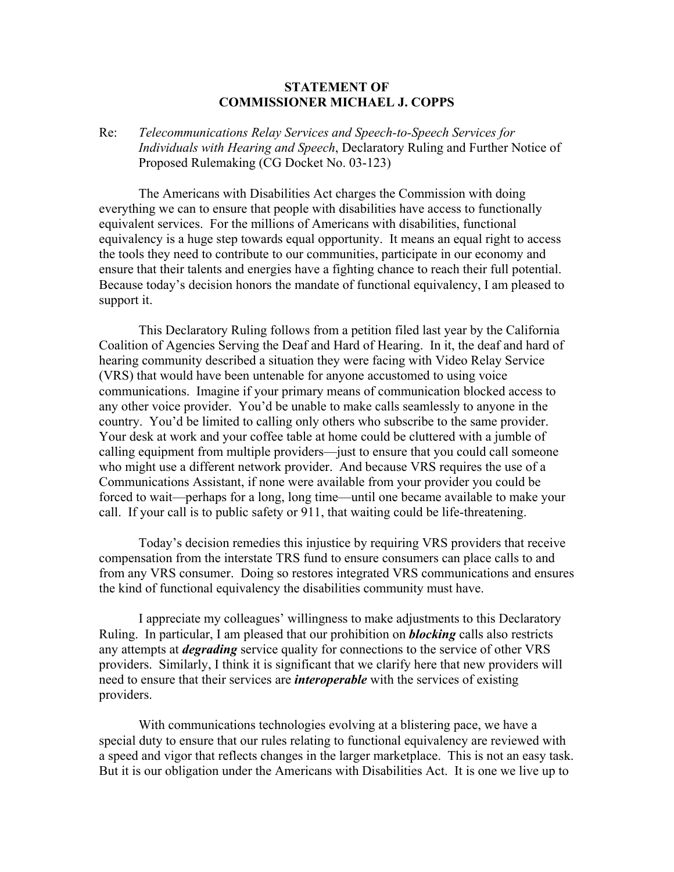## **STATEMENT OF COMMISSIONER MICHAEL J. COPPS**

## Re: *Telecommunications Relay Services and Speech-to-Speech Services for Individuals with Hearing and Speech*, Declaratory Ruling and Further Notice of Proposed Rulemaking (CG Docket No. 03-123)

The Americans with Disabilities Act charges the Commission with doing everything we can to ensure that people with disabilities have access to functionally equivalent services. For the millions of Americans with disabilities, functional equivalency is a huge step towards equal opportunity. It means an equal right to access the tools they need to contribute to our communities, participate in our economy and ensure that their talents and energies have a fighting chance to reach their full potential. Because today's decision honors the mandate of functional equivalency, I am pleased to support it.

This Declaratory Ruling follows from a petition filed last year by the California Coalition of Agencies Serving the Deaf and Hard of Hearing. In it, the deaf and hard of hearing community described a situation they were facing with Video Relay Service (VRS) that would have been untenable for anyone accustomed to using voice communications. Imagine if your primary means of communication blocked access to any other voice provider. You'd be unable to make calls seamlessly to anyone in the country. You'd be limited to calling only others who subscribe to the same provider. Your desk at work and your coffee table at home could be cluttered with a jumble of calling equipment from multiple providers—just to ensure that you could call someone who might use a different network provider. And because VRS requires the use of a Communications Assistant, if none were available from your provider you could be forced to wait—perhaps for a long, long time—until one became available to make your call. If your call is to public safety or 911, that waiting could be life-threatening.

Today's decision remedies this injustice by requiring VRS providers that receive compensation from the interstate TRS fund to ensure consumers can place calls to and from any VRS consumer. Doing so restores integrated VRS communications and ensures the kind of functional equivalency the disabilities community must have.

I appreciate my colleagues' willingness to make adjustments to this Declaratory Ruling. In particular, I am pleased that our prohibition on *blocking* calls also restricts any attempts at *degrading* service quality for connections to the service of other VRS providers. Similarly, I think it is significant that we clarify here that new providers will need to ensure that their services are *interoperable* with the services of existing providers.

With communications technologies evolving at a blistering pace, we have a special duty to ensure that our rules relating to functional equivalency are reviewed with a speed and vigor that reflects changes in the larger marketplace. This is not an easy task. But it is our obligation under the Americans with Disabilities Act. It is one we live up to